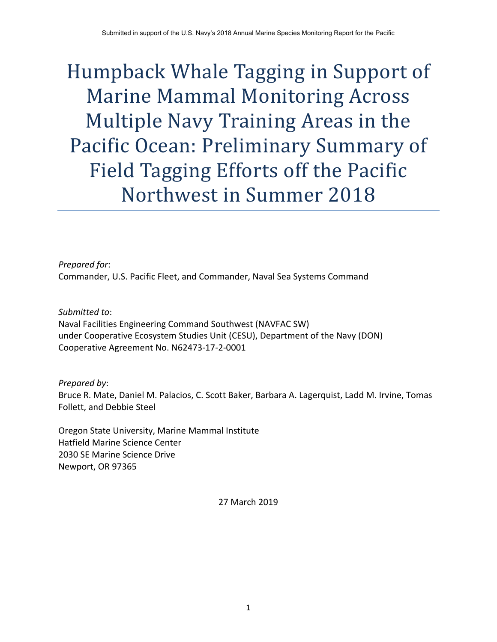# Humpback Whale Tagging in Support of **Marine Mammal Monitoring Across** Multiple Navy Training Areas in the Pacific Ocean: Preliminary Summary of Field Tagging Efforts off the Pacific Northwest in Summer 2018

*Prepared for*: Commander, U.S. Pacific Fleet, and Commander, Naval Sea Systems Command

*Submitted to*: Naval Facilities Engineering Command Southwest (NAVFAC SW) under Cooperative Ecosystem Studies Unit (CESU), Department of the Navy (DON) Cooperative Agreement No. N62473‐17‐2‐0001

#### *Prepared by*:

Bruce R. Mate, Daniel M. Palacios, C. Scott Baker, Barbara A. Lagerquist, Ladd M. Irvine, Tomas Follett, and Debbie Steel

Oregon State University, Marine Mammal Institute Hatfield Marine Science Center 2030 SE Marine Science Drive Newport, OR 97365

27 March 2019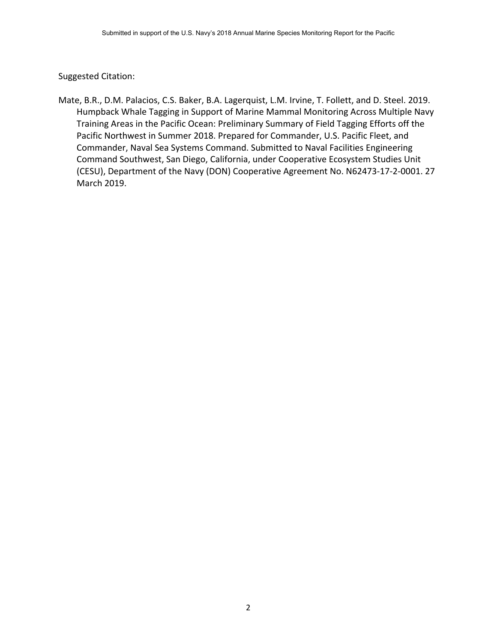Suggested Citation:

Mate, B.R., D.M. Palacios, C.S. Baker, B.A. Lagerquist, L.M. Irvine, T. Follett, and D. Steel. 2019. Humpback Whale Tagging in Support of Marine Mammal Monitoring Across Multiple Navy Training Areas in the Pacific Ocean: Preliminary Summary of Field Tagging Efforts off the Pacific Northwest in Summer 2018. Prepared for Commander, U.S. Pacific Fleet, and Commander, Naval Sea Systems Command. Submitted to Naval Facilities Engineering Command Southwest, San Diego, California, under Cooperative Ecosystem Studies Unit (CESU), Department of the Navy (DON) Cooperative Agreement No. N62473‐17‐2‐0001. 27 March 2019.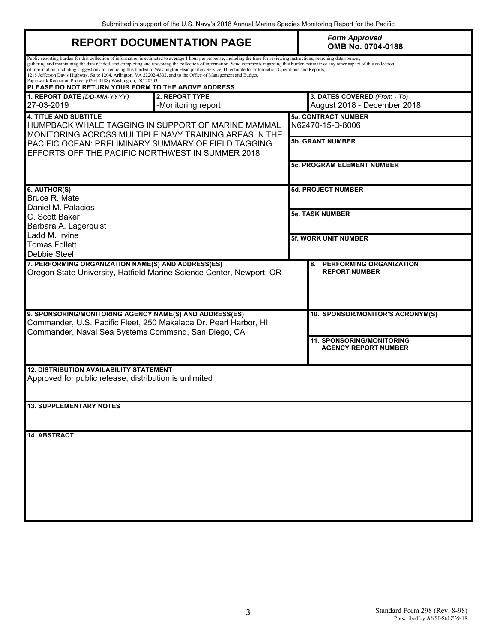Submitted in support of the U.S. Navy's 2018 Annual Marine Species Monitoring Report for the Pacific

|                                                                                                                                                                                                                                                                                                                                                                                                                                                                                                                                                                                                                                                                                                                                                                                    | <b>REPORT DOCUMENTATION PAGE</b>                                     |                                   | <b>Form Approved</b><br>OMB No. 0704-0188                       |  |  |  |
|------------------------------------------------------------------------------------------------------------------------------------------------------------------------------------------------------------------------------------------------------------------------------------------------------------------------------------------------------------------------------------------------------------------------------------------------------------------------------------------------------------------------------------------------------------------------------------------------------------------------------------------------------------------------------------------------------------------------------------------------------------------------------------|----------------------------------------------------------------------|-----------------------------------|-----------------------------------------------------------------|--|--|--|
| Public reporting burden for this collection of information is estimated to average 1 hour per response, including the time for reviewing instructions, searching data sources,<br>gathering and maintaining the data needed, and completing and reviewing the collection of information. Send comments regarding this burden estimate or any other aspect of this collection<br>of information, including suggestions for reducing this burden to Washington Headquarters Service, Directorate for Information Operations and Reports,<br>1215 Jefferson Davis Highway, Suite 1204, Arlington, VA 22202-4302, and to the Office of Management and Budget,<br>Paperwork Reduction Project (0704-0188) Washington, DC 20503.<br>PLEASE DO NOT RETURN YOUR FORM TO THE ABOVE ADDRESS. |                                                                      |                                   |                                                                 |  |  |  |
| 2. REPORT TYPE<br>1. REPORT DATE (DD-MM-YYYY)<br>27-03-2019<br>-Monitoring report                                                                                                                                                                                                                                                                                                                                                                                                                                                                                                                                                                                                                                                                                                  |                                                                      |                                   | 3. DATES COVERED (From - To)<br>August 2018 - December 2018     |  |  |  |
| <b>4. TITLE AND SUBTITLE</b><br>HUMPBACK WHALE TAGGING IN SUPPORT OF MARINE MAMMAL<br>MONITORING ACROSS MULTIPLE NAVY TRAINING AREAS IN THE<br>PACIFIC OCEAN: PRELIMINARY SUMMARY OF FIELD TAGGING<br>EFFORTS OFF THE PACIFIC NORTHWEST IN SUMMER 2018                                                                                                                                                                                                                                                                                                                                                                                                                                                                                                                             |                                                                      |                                   | <b>5a. CONTRACT NUMBER</b><br>N62470-15-D-8006                  |  |  |  |
|                                                                                                                                                                                                                                                                                                                                                                                                                                                                                                                                                                                                                                                                                                                                                                                    |                                                                      |                                   | <b>5b. GRANT NUMBER</b>                                         |  |  |  |
|                                                                                                                                                                                                                                                                                                                                                                                                                                                                                                                                                                                                                                                                                                                                                                                    |                                                                      | <b>5c. PROGRAM ELEMENT NUMBER</b> |                                                                 |  |  |  |
| 6. AUTHOR(S)<br>Bruce R. Mate                                                                                                                                                                                                                                                                                                                                                                                                                                                                                                                                                                                                                                                                                                                                                      |                                                                      |                                   | <b>5d. PROJECT NUMBER</b>                                       |  |  |  |
| Daniel M. Palacios<br>C. Scott Baker<br>Barbara A. Lagerquist<br>Ladd M. Irvine<br><b>Tomas Follett</b><br>Debbie Steel                                                                                                                                                                                                                                                                                                                                                                                                                                                                                                                                                                                                                                                            |                                                                      |                                   | <b>5e. TASK NUMBER</b>                                          |  |  |  |
|                                                                                                                                                                                                                                                                                                                                                                                                                                                                                                                                                                                                                                                                                                                                                                                    |                                                                      |                                   | <b>5f. WORK UNIT NUMBER</b>                                     |  |  |  |
| 7. PERFORMING ORGANIZATION NAME(S) AND ADDRESS(ES)                                                                                                                                                                                                                                                                                                                                                                                                                                                                                                                                                                                                                                                                                                                                 | Oregon State University, Hatfield Marine Science Center, Newport, OR |                                   | PERFORMING ORGANIZATION<br>8.<br><b>REPORT NUMBER</b>           |  |  |  |
| 9. SPONSORING/MONITORING AGENCY NAME(S) AND ADDRESS(ES)<br>Commander, U.S. Pacific Fleet, 250 Makalapa Dr. Pearl Harbor, HI<br>Commander, Naval Sea Systems Command, San Diego, CA                                                                                                                                                                                                                                                                                                                                                                                                                                                                                                                                                                                                 |                                                                      |                                   | 10. SPONSOR/MONITOR'S ACRONYM(S)                                |  |  |  |
|                                                                                                                                                                                                                                                                                                                                                                                                                                                                                                                                                                                                                                                                                                                                                                                    |                                                                      |                                   | <b>11. SPONSORING/MONITORING</b><br><b>AGENCY REPORT NUMBER</b> |  |  |  |
| <b>12. DISTRIBUTION AVAILABILITY STATEMENT</b><br>Approved for public release; distribution is unlimited                                                                                                                                                                                                                                                                                                                                                                                                                                                                                                                                                                                                                                                                           |                                                                      |                                   |                                                                 |  |  |  |
| <b>13. SUPPLEMENTARY NOTES</b>                                                                                                                                                                                                                                                                                                                                                                                                                                                                                                                                                                                                                                                                                                                                                     |                                                                      |                                   |                                                                 |  |  |  |
| <b>14. ABSTRACT</b>                                                                                                                                                                                                                                                                                                                                                                                                                                                                                                                                                                                                                                                                                                                                                                |                                                                      |                                   |                                                                 |  |  |  |
|                                                                                                                                                                                                                                                                                                                                                                                                                                                                                                                                                                                                                                                                                                                                                                                    |                                                                      |                                   |                                                                 |  |  |  |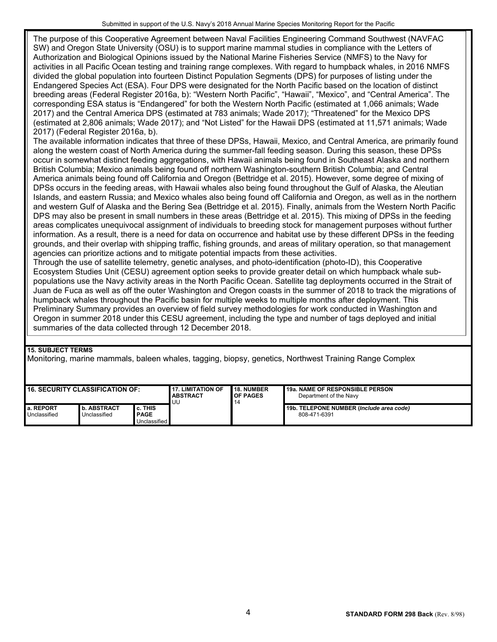The purpose of this Cooperative Agreement between Naval Facilities Engineering Command Southwest (NAVFAC SW) and Oregon State University (OSU) is to support marine mammal studies in compliance with the Letters of Authorization and Biological Opinions issued by the National Marine Fisheries Service (NMFS) to the Navy for activities in all Pacific Ocean testing and training range complexes. With regard to humpback whales, in 2016 NMFS divided the global population into fourteen Distinct Population Segments (DPS) for purposes of listing under the Endangered Species Act (ESA). Four DPS were designated for the North Pacific based on the location of distinct breeding areas (Federal Register 2016a, b): "Western North Pacific", "Hawaii", "Mexico", and "Central America". The corresponding ESA status is "Endangered" for both the Western North Pacific (estimated at 1,066 animals; Wade 2017) and the Central America DPS (estimated at 783 animals; Wade 2017); "Threatened" for the Mexico DPS (estimated at 2,806 animals; Wade 2017); and "Not Listed" for the Hawaii DPS (estimated at 11,571 animals; Wade 2017) (Federal Register 2016a, b).

The available information indicates that three of these DPSs, Hawaii, Mexico, and Central America, are primarily found along the western coast of North America during the summer-fall feeding season. During this season, these DPSs occur in somewhat distinct feeding aggregations, with Hawaii animals being found in Southeast Alaska and northern British Columbia; Mexico animals being found off northern Washington-southern British Columbia; and Central America animals being found off California and Oregon (Bettridge et al. 2015). However, some degree of mixing of DPSs occurs in the feeding areas, with Hawaii whales also being found throughout the Gulf of Alaska, the Aleutian Islands, and eastern Russia; and Mexico whales also being found off California and Oregon, as well as in the northern and western Gulf of Alaska and the Bering Sea (Bettridge et al. 2015). Finally, animals from the Western North Pacific DPS may also be present in small numbers in these areas (Bettridge et al. 2015). This mixing of DPSs in the feeding areas complicates unequivocal assignment of individuals to breeding stock for management purposes without further information. As a result, there is a need for data on occurrence and habitat use by these different DPSs in the feeding grounds, and their overlap with shipping traffic, fishing grounds, and areas of military operation, so that management agencies can prioritize actions and to mitigate potential impacts from these activities.

Through the use of satellite telemetry, genetic analyses, and photo-identification (photo-ID), this Cooperative Ecosystem Studies Unit (CESU) agreement option seeks to provide greater detail on which humpback whale subpopulations use the Navy activity areas in the North Pacific Ocean. Satellite tag deployments occurred in the Strait of Juan de Fuca as well as off the outer Washington and Oregon coasts in the summer of 2018 to track the migrations of humpback whales throughout the Pacific basin for multiple weeks to multiple months after deployment. This Preliminary Summary provides an overview of field survey methodologies for work conducted in Washington and Oregon in summer 2018 under this CESU agreement, including the type and number of tags deployed and initial summaries of the data collected through 12 December 2018.

#### **15. SUBJECT TERMS**

Monitoring, marine mammals, baleen whales, tagging, biopsy, genetics, Northwest Training Range Complex

| <b>16. SECURITY CLASSIFICATION OF:</b> |                             |                                        | <b>17. LIMITATION OF</b> | <b>18. NUMBER</b>      | <b>19a. NAME OF RESPONSIBLE PERSON</b>                   |
|----------------------------------------|-----------------------------|----------------------------------------|--------------------------|------------------------|----------------------------------------------------------|
|                                        |                             | <b>ABSTRACT</b><br>UU                  | <b>OF PAGES</b>          | Department of the Navy |                                                          |
| I a. REPORT<br>Unclassified            | b. ABSTRACT<br>Unclassified | c. THIS<br><b>PAGE</b><br>Unclassified |                          |                        | 19b. TELEPONE NUMBER (Include area code)<br>808-471-6391 |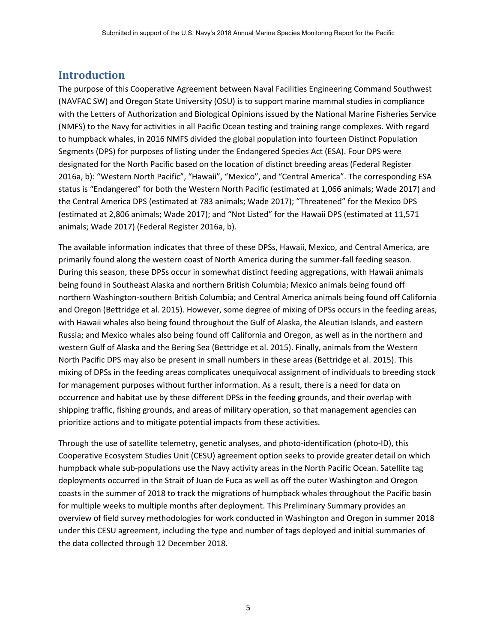#### **Introduction**

The purpose of this Cooperative Agreement between Naval Facilities Engineering Command Southwest (NAVFAC SW) and Oregon State University (OSU) is to support marine mammal studies in compliance with the Letters of Authorization and Biological Opinions issued by the National Marine Fisheries Service (NMFS) to the Navy for activities in all Pacific Ocean testing and training range complexes. With regard to humpback whales, in 2016 NMFS divided the global population into fourteen Distinct Population Segments (DPS) for purposes of listing under the Endangered Species Act (ESA). Four DPS were designated for the North Pacific based on the location of distinct breeding areas (Federal Register 2016a, b): "Western North Pacific", "Hawaii", "Mexico", and "Central America". The corresponding ESA status is "Endangered" for both the Western North Pacific (estimated at 1,066 animals; Wade 2017) and the Central America DPS (estimated at 783 animals; Wade 2017); "Threatened" for the Mexico DPS (estimated at 2,806 animals; Wade 2017); and "Not Listed" for the Hawaii DPS (estimated at 11,571 animals; Wade 2017) (Federal Register 2016a, b).

The available information indicates that three of these DPSs, Hawaii, Mexico, and Central America, are primarily found along the western coast of North America during the summer-fall feeding season. During this season, these DPSs occur in somewhat distinct feeding aggregations, with Hawaii animals being found in Southeast Alaska and northern British Columbia; Mexico animals being found off northern Washington‐southern British Columbia; and Central America animals being found off California and Oregon (Bettridge et al. 2015). However, some degree of mixing of DPSs occurs in the feeding areas, with Hawaii whales also being found throughout the Gulf of Alaska, the Aleutian Islands, and eastern Russia; and Mexico whales also being found off California and Oregon, as well as in the northern and western Gulf of Alaska and the Bering Sea (Bettridge et al. 2015). Finally, animals from the Western North Pacific DPS may also be present in small numbers in these areas (Bettridge et al. 2015). This mixing of DPSs in the feeding areas complicates unequivocal assignment of individuals to breeding stock for management purposes without further information. As a result, there is a need for data on occurrence and habitat use by these different DPSs in the feeding grounds, and their overlap with shipping traffic, fishing grounds, and areas of military operation, so that management agencies can prioritize actions and to mitigate potential impacts from these activities.

Through the use of satellite telemetry, genetic analyses, and photo‐identification (photo‐ID), this Cooperative Ecosystem Studies Unit (CESU) agreement option seeks to provide greater detail on which humpback whale sub‐populations use the Navy activity areas in the North Pacific Ocean. Satellite tag deployments occurred in the Strait of Juan de Fuca as well as off the outer Washington and Oregon coasts in the summer of 2018 to track the migrations of humpback whales throughout the Pacific basin for multiple weeks to multiple months after deployment. This Preliminary Summary provides an overview of field survey methodologies for work conducted in Washington and Oregon in summer 2018 under this CESU agreement, including the type and number of tags deployed and initial summaries of the data collected through 12 December 2018.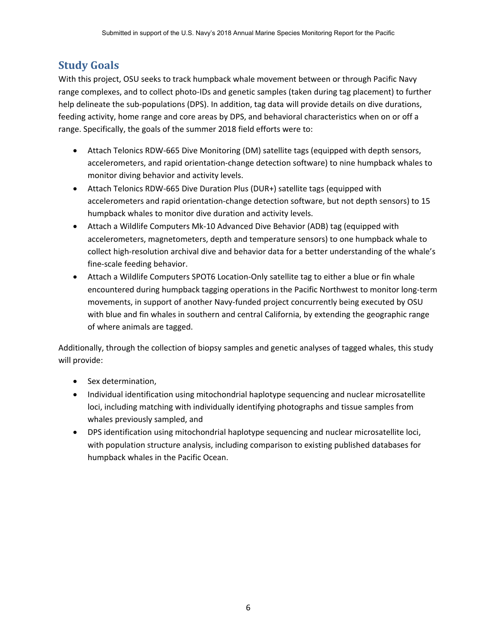## **Study Goals**

With this project, OSU seeks to track humpback whale movement between or through Pacific Navy range complexes, and to collect photo‐IDs and genetic samples (taken during tag placement) to further help delineate the sub‐populations (DPS). In addition, tag data will provide details on dive durations, feeding activity, home range and core areas by DPS, and behavioral characteristics when on or off a range. Specifically, the goals of the summer 2018 field efforts were to:

- Attach Telonics RDW-665 Dive Monitoring (DM) satellite tags (equipped with depth sensors, accelerometers, and rapid orientation‐change detection software) to nine humpback whales to monitor diving behavior and activity levels.
- Attach Telonics RDW-665 Dive Duration Plus (DUR+) satellite tags (equipped with accelerometers and rapid orientation‐change detection software, but not depth sensors) to 15 humpback whales to monitor dive duration and activity levels.
- Attach a Wildlife Computers Mk‐10 Advanced Dive Behavior (ADB) tag (equipped with accelerometers, magnetometers, depth and temperature sensors) to one humpback whale to collect high‐resolution archival dive and behavior data for a better understanding of the whale's fine‐scale feeding behavior.
- Attach a Wildlife Computers SPOT6 Location-Only satellite tag to either a blue or fin whale encountered during humpback tagging operations in the Pacific Northwest to monitor long-term movements, in support of another Navy‐funded project concurrently being executed by OSU with blue and fin whales in southern and central California, by extending the geographic range of where animals are tagged.

Additionally, through the collection of biopsy samples and genetic analyses of tagged whales, this study will provide:

- Sex determination,
- Individual identification using mitochondrial haplotype sequencing and nuclear microsatellite loci, including matching with individually identifying photographs and tissue samples from whales previously sampled, and
- DPS identification using mitochondrial haplotype sequencing and nuclear microsatellite loci, with population structure analysis, including comparison to existing published databases for humpback whales in the Pacific Ocean.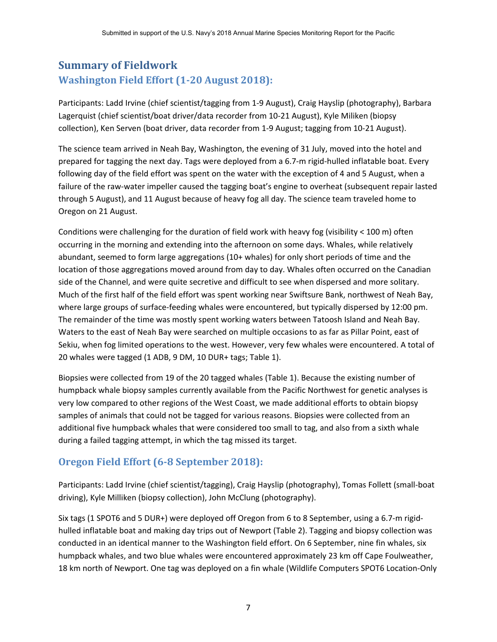# **Summary of Fieldwork Washington Field Effort (1‐20 August 2018):**

Participants: Ladd Irvine (chief scientist/tagging from 1‐9 August), Craig Hayslip (photography), Barbara Lagerquist (chief scientist/boat driver/data recorder from 10‐21 August), Kyle Miliken (biopsy collection), Ken Serven (boat driver, data recorder from 1‐9 August; tagging from 10‐21 August).

The science team arrived in Neah Bay, Washington, the evening of 31 July, moved into the hotel and prepared for tagging the next day. Tags were deployed from a 6.7-m rigid-hulled inflatable boat. Every following day of the field effort was spent on the water with the exception of 4 and 5 August, when a failure of the raw-water impeller caused the tagging boat's engine to overheat (subsequent repair lasted through 5 August), and 11 August because of heavy fog all day. The science team traveled home to Oregon on 21 August.

Conditions were challenging for the duration of field work with heavy fog (visibility < 100 m) often occurring in the morning and extending into the afternoon on some days. Whales, while relatively abundant, seemed to form large aggregations (10+ whales) for only short periods of time and the location of those aggregations moved around from day to day. Whales often occurred on the Canadian side of the Channel, and were quite secretive and difficult to see when dispersed and more solitary. Much of the first half of the field effort was spent working near Swiftsure Bank, northwest of Neah Bay, where large groups of surface-feeding whales were encountered, but typically dispersed by 12:00 pm. The remainder of the time was mostly spent working waters between Tatoosh Island and Neah Bay. Waters to the east of Neah Bay were searched on multiple occasions to as far as Pillar Point, east of Sekiu, when fog limited operations to the west. However, very few whales were encountered. A total of 20 whales were tagged (1 ADB, 9 DM, 10 DUR+ tags; Table 1).

Biopsies were collected from 19 of the 20 tagged whales (Table 1). Because the existing number of humpback whale biopsy samples currently available from the Pacific Northwest for genetic analyses is very low compared to other regions of the West Coast, we made additional efforts to obtain biopsy samples of animals that could not be tagged for various reasons. Biopsies were collected from an additional five humpback whales that were considered too small to tag, and also from a sixth whale during a failed tagging attempt, in which the tag missed its target.

### **Oregon Field Effort (6‐8 September 2018):**

Participants: Ladd Irvine (chief scientist/tagging), Craig Hayslip (photography), Tomas Follett (small‐boat driving), Kyle Milliken (biopsy collection), John McClung (photography).

Six tags (1 SPOT6 and 5 DUR+) were deployed off Oregon from 6 to 8 September, using a 6.7‐m rigid‐ hulled inflatable boat and making day trips out of Newport (Table 2). Tagging and biopsy collection was conducted in an identical manner to the Washington field effort. On 6 September, nine fin whales, six humpback whales, and two blue whales were encountered approximately 23 km off Cape Foulweather, 18 km north of Newport. One tag was deployed on a fin whale (Wildlife Computers SPOT6 Location‐Only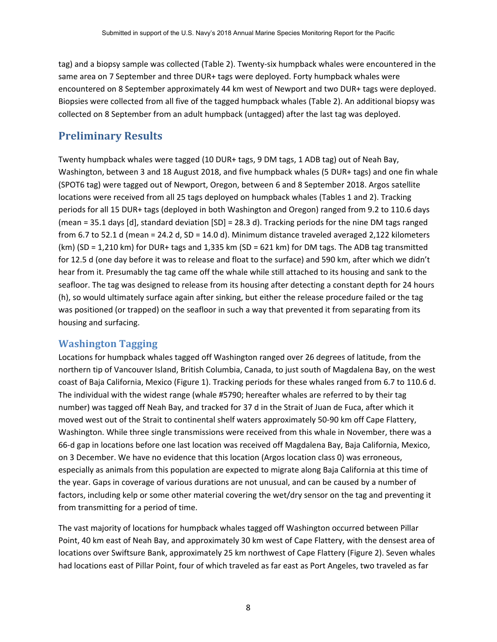tag) and a biopsy sample was collected (Table 2). Twenty‐six humpback whales were encountered in the same area on 7 September and three DUR+ tags were deployed. Forty humpback whales were encountered on 8 September approximately 44 km west of Newport and two DUR+ tags were deployed. Biopsies were collected from all five of the tagged humpback whales (Table 2). An additional biopsy was collected on 8 September from an adult humpback (untagged) after the last tag was deployed.

### **Preliminary Results**

Twenty humpback whales were tagged (10 DUR+ tags, 9 DM tags, 1 ADB tag) out of Neah Bay, Washington, between 3 and 18 August 2018, and five humpback whales (5 DUR+ tags) and one fin whale (SPOT6 tag) were tagged out of Newport, Oregon, between 6 and 8 September 2018. Argos satellite locations were received from all 25 tags deployed on humpback whales (Tables 1 and 2). Tracking periods for all 15 DUR+ tags (deployed in both Washington and Oregon) ranged from 9.2 to 110.6 days (mean = 35.1 days [d], standard deviation [SD] = 28.3 d). Tracking periods for the nine DM tags ranged from 6.7 to 52.1 d (mean = 24.2 d, SD = 14.0 d). Minimum distance traveled averaged 2,122 kilometers  $(km)$  (SD = 1,210 km) for DUR+ tags and 1,335 km (SD = 621 km) for DM tags. The ADB tag transmitted for 12.5 d (one day before it was to release and float to the surface) and 590 km, after which we didn't hear from it. Presumably the tag came off the whale while still attached to its housing and sank to the seafloor. The tag was designed to release from its housing after detecting a constant depth for 24 hours (h), so would ultimately surface again after sinking, but either the release procedure failed or the tag was positioned (or trapped) on the seafloor in such a way that prevented it from separating from its housing and surfacing.

#### **Washington Tagging**

Locations for humpback whales tagged off Washington ranged over 26 degrees of latitude, from the northern tip of Vancouver Island, British Columbia, Canada, to just south of Magdalena Bay, on the west coast of Baja California, Mexico (Figure 1). Tracking periods for these whales ranged from 6.7 to 110.6 d. The individual with the widest range (whale #5790; hereafter whales are referred to by their tag number) was tagged off Neah Bay, and tracked for 37 d in the Strait of Juan de Fuca, after which it moved west out of the Strait to continental shelf waters approximately 50‐90 km off Cape Flattery, Washington. While three single transmissions were received from this whale in November, there was a 66‐d gap in locations before one last location was received off Magdalena Bay, Baja California, Mexico, on 3 December. We have no evidence that this location (Argos location class 0) was erroneous, especially as animals from this population are expected to migrate along Baja California at this time of the year. Gaps in coverage of various durations are not unusual, and can be caused by a number of factors, including kelp or some other material covering the wet/dry sensor on the tag and preventing it from transmitting for a period of time.

The vast majority of locations for humpback whales tagged off Washington occurred between Pillar Point, 40 km east of Neah Bay, and approximately 30 km west of Cape Flattery, with the densest area of locations over Swiftsure Bank, approximately 25 km northwest of Cape Flattery (Figure 2). Seven whales had locations east of Pillar Point, four of which traveled as far east as Port Angeles, two traveled as far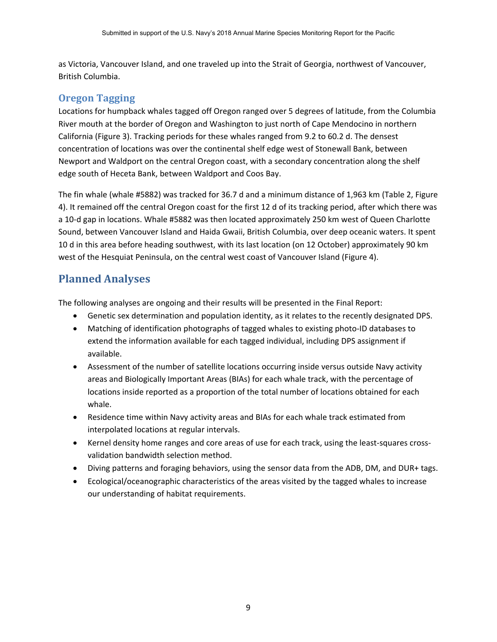as Victoria, Vancouver Island, and one traveled up into the Strait of Georgia, northwest of Vancouver, British Columbia.

#### **Oregon Tagging**

Locations for humpback whales tagged off Oregon ranged over 5 degrees of latitude, from the Columbia River mouth at the border of Oregon and Washington to just north of Cape Mendocino in northern California (Figure 3). Tracking periods for these whales ranged from 9.2 to 60.2 d. The densest concentration of locations was over the continental shelf edge west of Stonewall Bank, between Newport and Waldport on the central Oregon coast, with a secondary concentration along the shelf edge south of Heceta Bank, between Waldport and Coos Bay.

The fin whale (whale #5882) was tracked for 36.7 d and a minimum distance of 1,963 km (Table 2, Figure 4). It remained off the central Oregon coast for the first 12 d of its tracking period, after which there was a 10‐d gap in locations. Whale #5882 was then located approximately 250 km west of Queen Charlotte Sound, between Vancouver Island and Haida Gwaii, British Columbia, over deep oceanic waters. It spent 10 d in this area before heading southwest, with its last location (on 12 October) approximately 90 km west of the Hesquiat Peninsula, on the central west coast of Vancouver Island (Figure 4).

#### **Planned Analyses**

The following analyses are ongoing and their results will be presented in the Final Report:

- Genetic sex determination and population identity, as it relates to the recently designated DPS.
- Matching of identification photographs of tagged whales to existing photo-ID databases to extend the information available for each tagged individual, including DPS assignment if available.
- Assessment of the number of satellite locations occurring inside versus outside Navy activity areas and Biologically Important Areas (BIAs) for each whale track, with the percentage of locations inside reported as a proportion of the total number of locations obtained for each whale.
- Residence time within Navy activity areas and BIAs for each whale track estimated from interpolated locations at regular intervals.
- Kernel density home ranges and core areas of use for each track, using the least-squares crossvalidation bandwidth selection method.
- Diving patterns and foraging behaviors, using the sensor data from the ADB, DM, and DUR+ tags.
- Ecological/oceanographic characteristics of the areas visited by the tagged whales to increase our understanding of habitat requirements.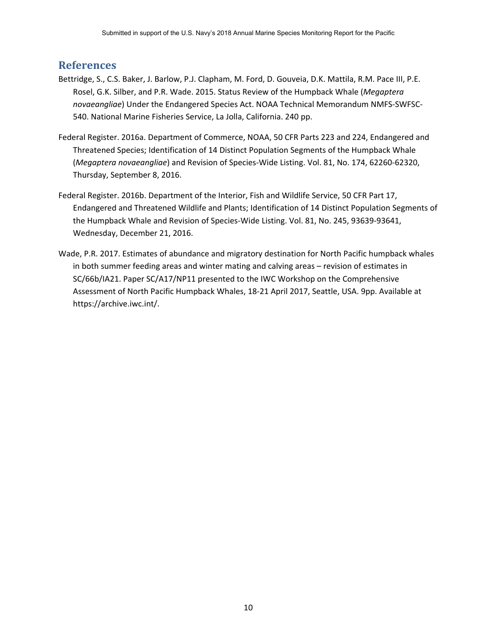#### **References**

- Bettridge, S., C.S. Baker, J. Barlow, P.J. Clapham, M. Ford, D. Gouveia, D.K. Mattila, R.M. Pace III, P.E. Rosel, G.K. Silber, and P.R. Wade. 2015. Status Review of the Humpback Whale (*Megaptera novaeangliae*) Under the Endangered Species Act. NOAA Technical Memorandum NMFS‐SWFSC‐ 540. National Marine Fisheries Service, La Jolla, California. 240 pp.
- Federal Register. 2016a. Department of Commerce, NOAA, 50 CFR Parts 223 and 224, Endangered and Threatened Species; Identification of 14 Distinct Population Segments of the Humpback Whale (*Megaptera novaeangliae*) and Revision of Species‐Wide Listing. Vol. 81, No. 174, 62260‐62320, Thursday, September 8, 2016.
- Federal Register. 2016b. Department of the Interior, Fish and Wildlife Service, 50 CFR Part 17, Endangered and Threatened Wildlife and Plants; Identification of 14 Distinct Population Segments of the Humpback Whale and Revision of Species‐Wide Listing. Vol. 81, No. 245, 93639‐93641, Wednesday, December 21, 2016.
- Wade, P.R. 2017. Estimates of abundance and migratory destination for North Pacific humpback whales in both summer feeding areas and winter mating and calving areas – revision of estimates in SC/66b/IA21. Paper SC/A17/NP11 presented to the IWC Workshop on the Comprehensive Assessment of North Pacific Humpback Whales, 18‐21 April 2017, Seattle, USA. 9pp. Available at https://archive.iwc.int/.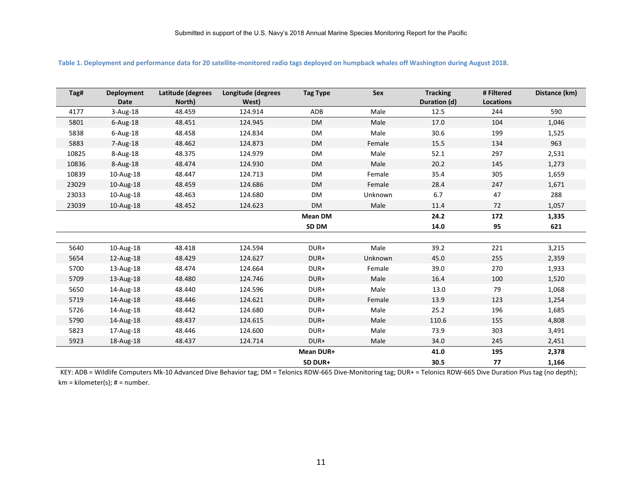| Tag#    | <b>Deployment</b><br>Date | Latitude (degrees<br>North) | Longitude (degrees<br>West) | <b>Tag Type</b> | Sex     | <b>Tracking</b><br>Duration (d) | # Filtered<br><b>Locations</b> | Distance (km) |
|---------|---------------------------|-----------------------------|-----------------------------|-----------------|---------|---------------------------------|--------------------------------|---------------|
| 4177    | 3-Aug-18                  | 48.459                      | 124.914                     | ADB             | Male    | 12.5                            | 244                            | 590           |
| 5801    | $6$ -Aug-18               | 48.451                      | 124.945                     | <b>DM</b>       | Male    | 17.0                            | 104                            | 1,046         |
| 5838    | $6$ -Aug-18               | 48.458                      | 124.834                     | DM              | Male    | 30.6                            | 199                            | 1,525         |
| 5883    | 7-Aug-18                  | 48.462                      | 124.873                     | DM              | Female  | 15.5                            | 134                            | 963           |
| 10825   | 8-Aug-18                  | 48.375                      | 124.979                     | DM              | Male    | 52.1                            | 297                            | 2,531         |
| 10836   | 8-Aug-18                  | 48.474                      | 124.930                     | DM              | Male    | 20.2                            | 145                            | 1,273         |
| 10839   | 10-Aug-18                 | 48.447                      | 124.713                     | <b>DM</b>       | Female  | 35.4                            | 305                            | 1,659         |
| 23029   | 10-Aug-18                 | 48.459                      | 124.686                     | <b>DM</b>       | Female  | 28.4                            | 247                            | 1,671         |
| 23033   | 10-Aug-18                 | 48.463                      | 124.680                     | DM              | Unknown | 6.7                             | 47                             | 288           |
| 23039   | 10-Aug-18                 | 48.452                      | 124.623                     | DM              | Male    | 11.4                            | 72                             | 1,057         |
|         |                           |                             |                             | <b>Mean DM</b>  |         | 24.2                            | 172                            | 1,335         |
|         |                           |                             |                             | SD DM           |         | 14.0                            | 95                             | 621           |
|         |                           |                             |                             |                 |         |                                 |                                |               |
| 5640    | 10-Aug-18                 | 48.418                      | 124.594                     | DUR+            | Male    | 39.2                            | 221                            | 3,215         |
| 5654    | 12-Aug-18                 | 48.429                      | 124.627                     | DUR+            | Unknown | 45.0                            | 255                            | 2,359         |
| 5700    | 13-Aug-18                 | 48.474                      | 124.664                     | DUR+            | Female  | 39.0                            | 270                            | 1,933         |
| 5709    | 13-Aug-18                 | 48.480                      | 124.746                     | DUR+            | Male    | 16.4                            | 100                            | 1,520         |
| 5650    | 14-Aug-18                 | 48.440                      | 124.596                     | DUR+            | Male    | 13.0                            | 79                             | 1,068         |
| 5719    | 14-Aug-18                 | 48.446                      | 124.621                     | DUR+            | Female  | 13.9                            | 123                            | 1,254         |
| 5726    | 14-Aug-18                 | 48.442                      | 124.680                     | DUR+            | Male    | 25.2                            | 196                            | 1,685         |
| 5790    | 14-Aug-18                 | 48.437                      | 124.615                     | DUR+            | Male    | 110.6                           | 155                            | 4,808         |
| 5823    | 17-Aug-18                 | 48.446                      | 124.600                     | DUR+            | Male    | 73.9                            | 303                            | 3,491         |
| 5923    | 18-Aug-18                 | 48.437                      | 124.714                     | DUR+            | Male    | 34.0                            | 245                            | 2,451         |
|         |                           |                             |                             | Mean DUR+       |         | 41.0                            | 195                            | 2,378         |
| SD DUR+ |                           |                             |                             |                 | 30.5    | 77                              | 1,166                          |               |

**Table 1. Deployment and performance data for 20 satellite‐monitored radio tags deployed on humpback whales off Washington during August 2018.** 

KEY: ADB = Wildlife Computers Mk-10 Advanced Dive Behavior tag; DM = Telonics RDW-665 Dive-Monitoring tag; DUR+ = Telonics RDW-665 Dive Duration Plus tag (no depth);  $km = kilometer(s); # = number.$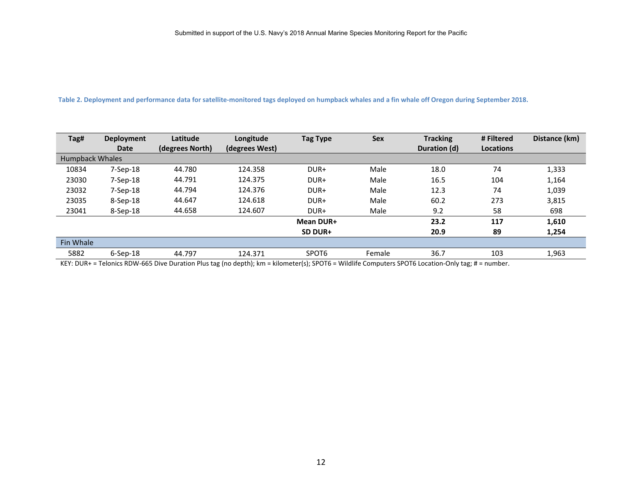#### Table 2. Deployment and performance data for satellite-monitored tags deployed on humpback whales and a fin whale off Oregon during September 2018.

| Tag#                   | Deployment     | Latitude        | Longitude      | <b>Tag Type</b> | <b>Sex</b> | <b>Tracking</b> | # Filtered       | Distance (km) |
|------------------------|----------------|-----------------|----------------|-----------------|------------|-----------------|------------------|---------------|
|                        | <b>Date</b>    | (degrees North) | (degrees West) |                 |            | Duration (d)    | <b>Locations</b> |               |
| <b>Humpback Whales</b> |                |                 |                |                 |            |                 |                  |               |
| 10834                  | $7-$ Sep $-18$ | 44.780          | 124.358        | DUR+            | Male       | 18.0            | 74               | 1,333         |
| 23030                  | $7-$ Sep $-18$ | 44.791          | 124.375        | DUR+            | Male       | 16.5            | 104              | 1,164         |
| 23032                  | $7-$ Sep $-18$ | 44.794          | 124.376        | DUR+            | Male       | 12.3            | 74               | 1,039         |
| 23035                  | 8-Sep-18       | 44.647          | 124.618        | DUR+            | Male       | 60.2            | 273              | 3,815         |
| 23041                  | 8-Sep-18       | 44.658          | 124.607        | DUR+            | Male       | 9.2             | 58               | 698           |
|                        |                |                 |                | Mean DUR+       |            | 23.2            | 117              | 1,610         |
|                        |                |                 |                | SD DUR+         |            | 20.9            | 89               | 1,254         |
| <b>Fin Whale</b>       |                |                 |                |                 |            |                 |                  |               |
| 5882                   | $6-$ Sep $-18$ | 44.797          | 124.371        | SPOT6           | Female     | 36.7            | 103              | 1,963         |

KEY: DUR+ = Telonics RDW‐665 Dive Duration Plus tag (no depth); km = kilometer(s); SPOT6 = Wildlife Computers SPOT6 Location‐Only tag; # = number.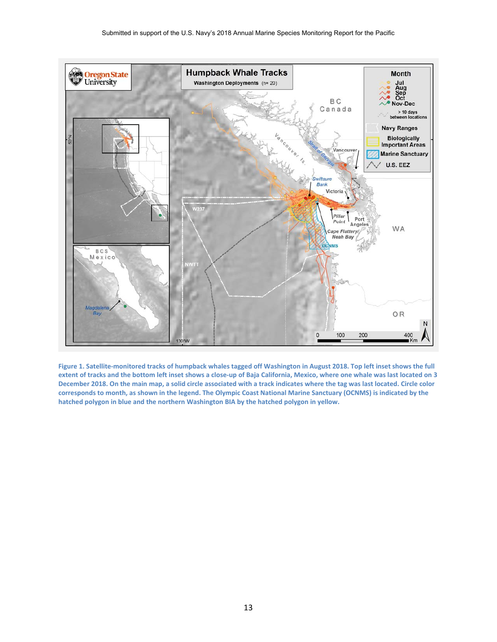

Figure 1. Satellite-monitored tracks of humpback whales tagged off Washington in August 2018. Top left inset shows the full **extent of tracks and the bottom left inset shows a close‐up of Baja California, Mexico, where one whale was last located on 3 December 2018. On the main map, a solid circle associated with a track indicates where the tag was last located. Circle color corresponds to month, as shown in the legend. The Olympic Coast National Marine Sanctuary (OCNMS) is indicated by the hatched polygon in blue and the northern Washington BIA by the hatched polygon in yellow.**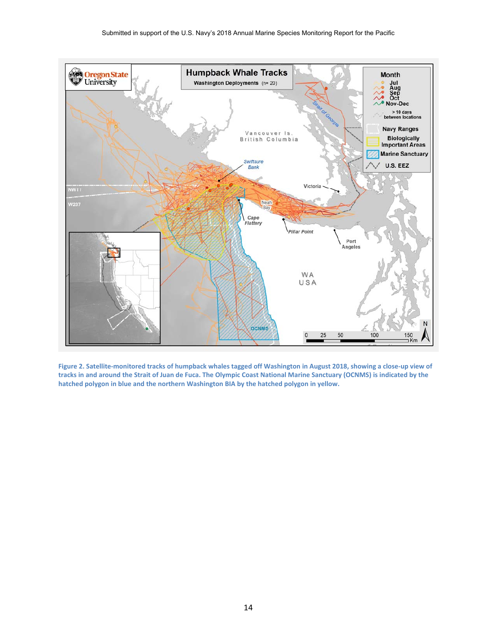

**Figure 2. Satellite‐monitored tracks of humpback whales tagged off Washington in August 2018, showing a close‐up view of tracks in and around the Strait of Juan de Fuca. The Olympic Coast National Marine Sanctuary (OCNMS) is indicated by the hatched polygon in blue and the northern Washington BIA by the hatched polygon in yellow.**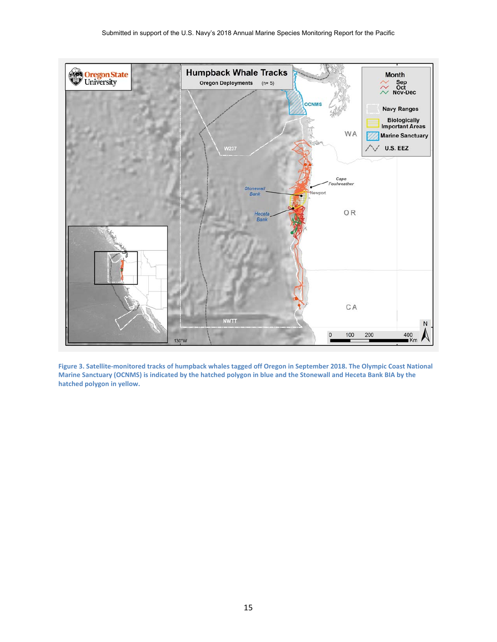

**Figure 3. Satellite‐monitored tracks of humpback whales tagged off Oregon in September 2018. The Olympic Coast National Marine Sanctuary (OCNMS) is indicated by the hatched polygon in blue and the Stonewall and Heceta Bank BIA by the hatched polygon in yellow.**